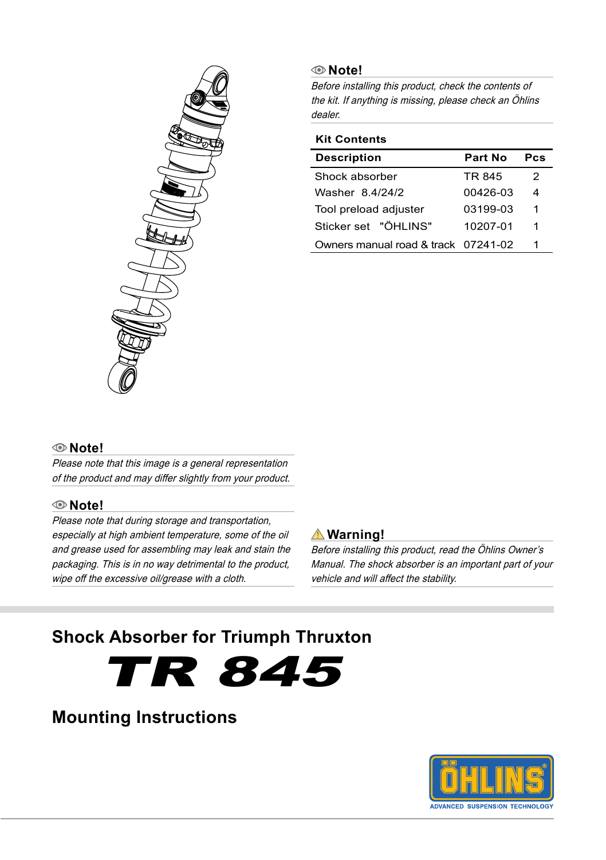

#### **Note!**

Before installing this product, check the contents of the kit. If anything is missing, please check an Öhlins dealer.

#### **Kit Contents**

| <b>Description</b>                  | Part No  | Pes |
|-------------------------------------|----------|-----|
| Shock absorber                      | TR 845   | 2   |
| Washer 8 4/24/2                     | 00426-03 | 4   |
| Tool preload adjuster               | 03199-03 | 1   |
| Sticker set "ÖHI INS"               | 10207-01 | 1   |
| Owners manual road & track 07241-02 |          | 1   |

#### **Note!**

Please note that this image is a general representation of the product and may differ slightly from your product.

#### **Note!**

Please note that during storage and transportation, especially at high ambient temperature, some of the oil and grease used for assembling may leak and stain the packaging. This is in no way detrimental to the product, wipe off the excessive oil/grease with a cloth.

#### **Warning!**

Before installing this product, read the Öhlins Owner's Manual. The shock absorber is an important part of your vehicle and will affect the stability.

# **Shock Absorber for Triumph Thruxton**

TR 845

# **Mounting Instructions**

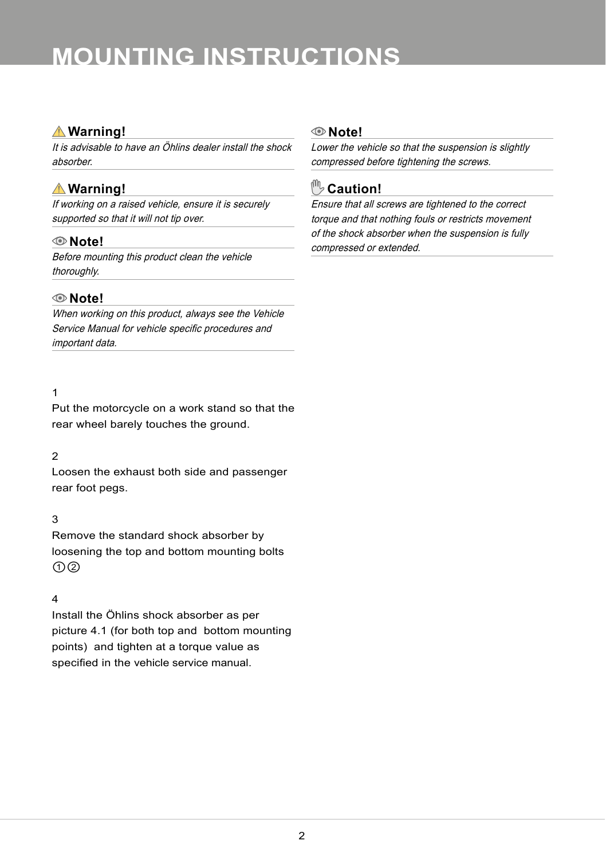# **MOUNTING INSTRUCTIONS**

#### **Warning!**

It is advisable to have an Öhlins dealer install the shock absorber.

## **Warning!**

If working on a raised vehicle, ensure it is securely supported so that it will not tip over.

#### **Note!**

Before mounting this product clean the vehicle thoroughly.

#### **Note!**

When working on this product, always see the Vehicle Service Manual for vehicle specific procedures and important data.

#### 1

Put the motorcycle on a work stand so that the rear wheel barely touches the ground.

#### 2

Loosen the exhaust both side and passenger rear foot pegs.

#### 3

Remove the standard shock absorber by loosening the top and bottom mounting bolts ①②

#### 4

Install the Öhlins shock absorber as per picture 4.1 (for both top and bottom mounting points) and tighten at a torque value as specified in the vehicle service manual.

#### **Note!**

Lower the vehicle so that the suspension is slightly compressed before tightening the screws.

## **Caution!**

Ensure that all screws are tightened to the correct torque and that nothing fouls or restricts movement of the shock absorber when the suspension is fully compressed or extended.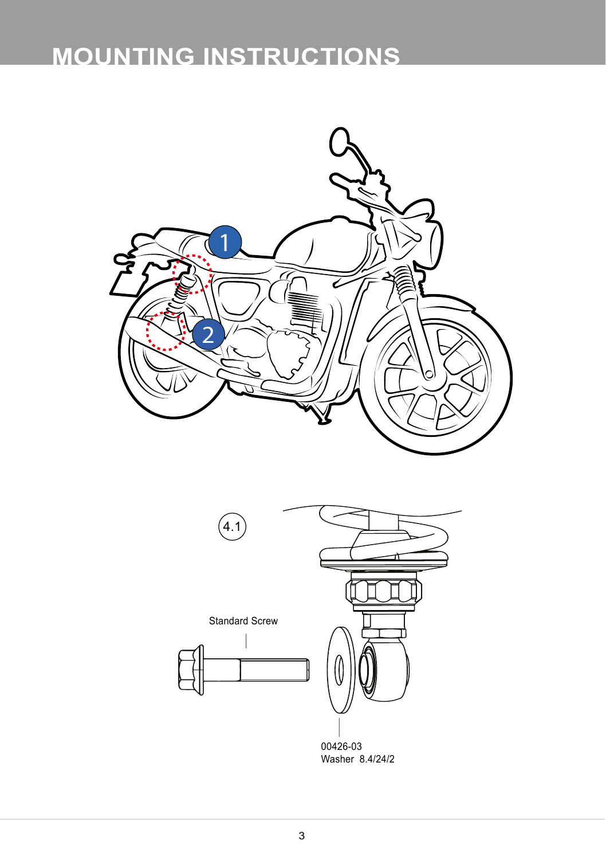# **MOUNTING INSTRUCTIONS**